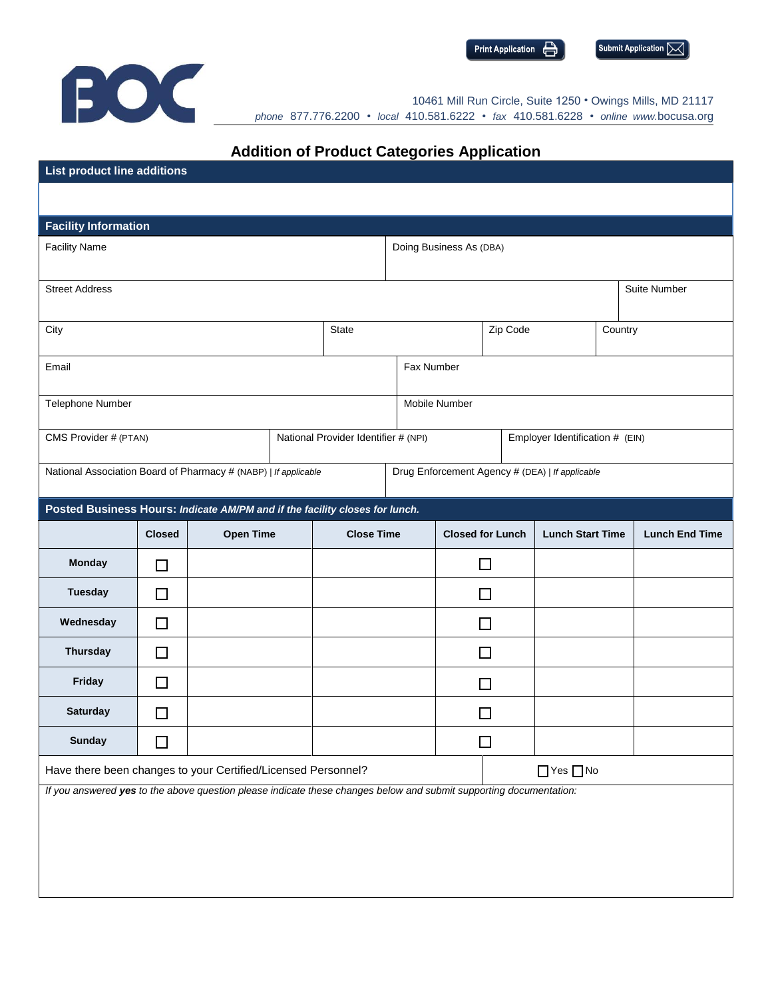





10461 Mill Run Circle, Suite 1250 • Owings Mills, MD 21117 *phone* 877.776.2200 • *local* 410.581.6222 • *fax* 410.581.6228 • *online www.*bocusa.org

## **Addition of Product Categories Application**

| List product line additions                                                                                        |                          |                  |  |                                      |                                                 |                         |        |                                 |  |                       |  |  |
|--------------------------------------------------------------------------------------------------------------------|--------------------------|------------------|--|--------------------------------------|-------------------------------------------------|-------------------------|--------|---------------------------------|--|-----------------------|--|--|
|                                                                                                                    |                          |                  |  |                                      |                                                 |                         |        |                                 |  |                       |  |  |
| <b>Facility Information</b>                                                                                        |                          |                  |  |                                      |                                                 |                         |        |                                 |  |                       |  |  |
| <b>Facility Name</b>                                                                                               |                          |                  |  |                                      |                                                 | Doing Business As (DBA) |        |                                 |  |                       |  |  |
|                                                                                                                    |                          |                  |  |                                      |                                                 |                         |        |                                 |  |                       |  |  |
| <b>Street Address</b>                                                                                              |                          |                  |  |                                      |                                                 |                         |        |                                 |  | Suite Number          |  |  |
|                                                                                                                    |                          |                  |  |                                      |                                                 |                         |        |                                 |  |                       |  |  |
| City                                                                                                               | <b>State</b><br>Zip Code |                  |  |                                      |                                                 |                         |        | Country                         |  |                       |  |  |
| Email                                                                                                              |                          |                  |  |                                      |                                                 |                         |        |                                 |  |                       |  |  |
|                                                                                                                    |                          |                  |  |                                      | Fax Number                                      |                         |        |                                 |  |                       |  |  |
| Telephone Number                                                                                                   |                          |                  |  |                                      |                                                 | <b>Mobile Number</b>    |        |                                 |  |                       |  |  |
|                                                                                                                    |                          |                  |  |                                      |                                                 |                         |        |                                 |  |                       |  |  |
| CMS Provider # (PTAN)                                                                                              |                          |                  |  | National Provider Identifier # (NPI) |                                                 |                         |        | Employer Identification # (EIN) |  |                       |  |  |
| National Association Board of Pharmacy # (NABP)   If applicable                                                    |                          |                  |  |                                      | Drug Enforcement Agency # (DEA)   If applicable |                         |        |                                 |  |                       |  |  |
|                                                                                                                    |                          |                  |  |                                      |                                                 |                         |        |                                 |  |                       |  |  |
| Posted Business Hours: Indicate AM/PM and if the facility closes for lunch.                                        |                          |                  |  |                                      |                                                 |                         |        |                                 |  |                       |  |  |
|                                                                                                                    | <b>Closed</b>            | <b>Open Time</b> |  | <b>Close Time</b>                    |                                                 | <b>Closed for Lunch</b> |        | <b>Lunch Start Time</b>         |  | <b>Lunch End Time</b> |  |  |
| <b>Monday</b>                                                                                                      | $\Box$                   |                  |  |                                      |                                                 |                         | □      |                                 |  |                       |  |  |
| <b>Tuesday</b>                                                                                                     | $\Box$                   |                  |  |                                      |                                                 |                         | □      |                                 |  |                       |  |  |
| Wednesday                                                                                                          | $\Box$                   |                  |  |                                      |                                                 |                         | □      |                                 |  |                       |  |  |
| Thursday                                                                                                           | $\Box$                   |                  |  |                                      |                                                 |                         | $\Box$ |                                 |  |                       |  |  |
| Friday                                                                                                             | $\Box$                   |                  |  |                                      |                                                 |                         | □      |                                 |  |                       |  |  |
| Saturday                                                                                                           | $\Box$                   |                  |  |                                      |                                                 |                         | □      |                                 |  |                       |  |  |
| <b>Sunday</b>                                                                                                      | $\Box$                   |                  |  |                                      |                                                 |                         |        |                                 |  |                       |  |  |
| Have there been changes to your Certified/Licensed Personnel?<br>$\Box$ Yes $\Box$ No                              |                          |                  |  |                                      |                                                 |                         |        |                                 |  |                       |  |  |
| If you answered yes to the above question please indicate these changes below and submit supporting documentation: |                          |                  |  |                                      |                                                 |                         |        |                                 |  |                       |  |  |
|                                                                                                                    |                          |                  |  |                                      |                                                 |                         |        |                                 |  |                       |  |  |
|                                                                                                                    |                          |                  |  |                                      |                                                 |                         |        |                                 |  |                       |  |  |
|                                                                                                                    |                          |                  |  |                                      |                                                 |                         |        |                                 |  |                       |  |  |
|                                                                                                                    |                          |                  |  |                                      |                                                 |                         |        |                                 |  |                       |  |  |
|                                                                                                                    |                          |                  |  |                                      |                                                 |                         |        |                                 |  |                       |  |  |